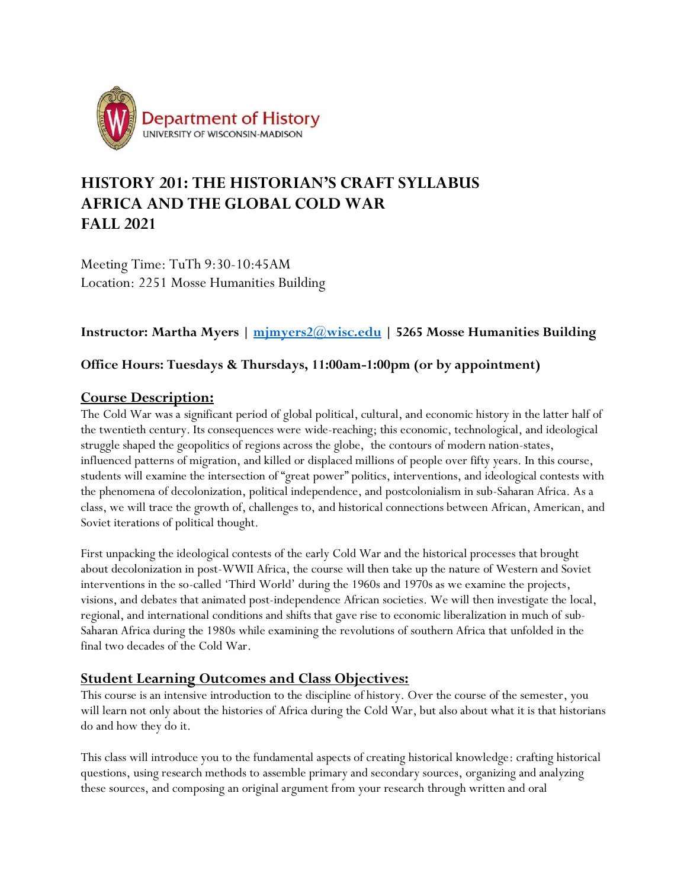

# **HISTORY 201: THE HISTORIAN'S CRAFT SYLLABUS AFRICA AND THE GLOBAL COLD WAR FALL 2021**

Meeting Time: TuTh 9:30-10:45AM Location: 2251 Mosse Humanities Building

## **Instructor: Martha Myers | [mjmyers2@wisc.edu](mailto:mjmyers2@wisc.edu) | 5265 Mosse Humanities Building**

### **Office Hours: Tuesdays & Thursdays, 11:00am-1:00pm (or by appointment)**

### **Course Description:**

The Cold War was a significant period of global political, cultural, and economic history in the latter half of the twentieth century. Its consequences were wide-reaching; this economic, technological, and ideological struggle shaped the geopolitics of regions across the globe, the contours of modern nation-states, influenced patterns of migration, and killed or displaced millions of people over fifty years. In this course, students will examine the intersection of "great power" politics, interventions, and ideological contests with the phenomena of decolonization, political independence, and postcolonialism in sub-Saharan Africa. As a class, we will trace the growth of, challenges to, and historical connections between African, American, and Soviet iterations of political thought.

First unpacking the ideological contests of the early Cold War and the historical processes that brought about decolonization in post-WWII Africa, the course will then take up the nature of Western and Soviet interventions in the so-called 'Third World' during the 1960s and 1970s as we examine the projects, visions, and debates that animated post-independence African societies. We will then investigate the local, regional, and international conditions and shifts that gave rise to economic liberalization in much of sub-Saharan Africa during the 1980s while examining the revolutions of southern Africa that unfolded in the final two decades of the Cold War.

### **Student Learning Outcomes and Class Objectives:**

This course is an intensive introduction to the discipline of history. Over the course of the semester, you will learn not only about the histories of Africa during the Cold War, but also about what it is that historians do and how they do it.

This class will introduce you to the fundamental aspects of creating historical knowledge: crafting historical questions, using research methods to assemble primary and secondary sources, organizing and analyzing these sources, and composing an original argument from your research through written and oral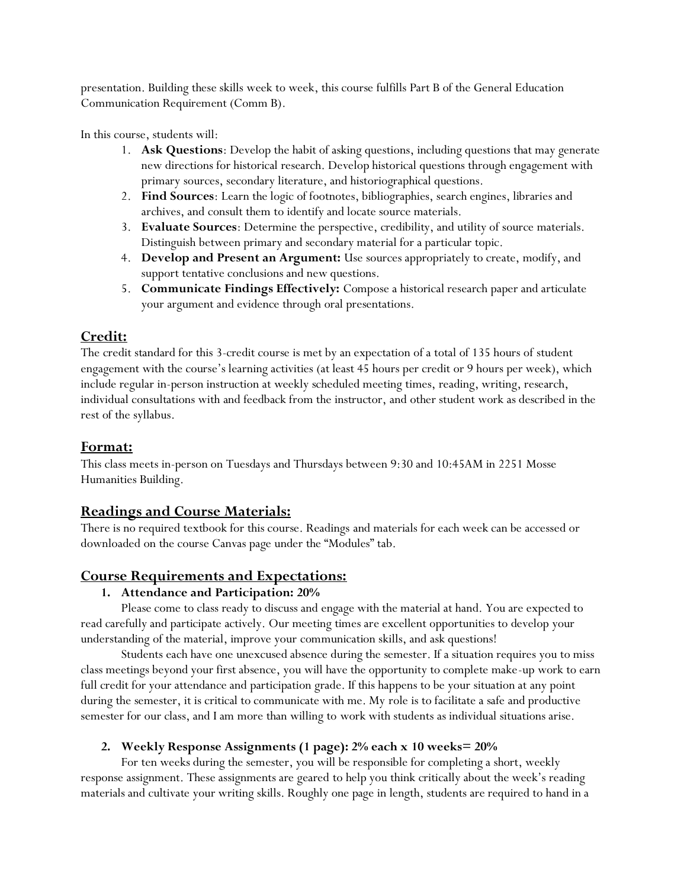presentation. Building these skills week to week, this course fulfills Part B of the General Education Communication Requirement (Comm B).

In this course, students will:

- 1. **Ask Questions**: Develop the habit of asking questions, including questions that may generate new directions for historical research. Develop historical questions through engagement with primary sources, secondary literature, and historiographical questions.
- 2. **Find Sources**: Learn the logic of footnotes, bibliographies, search engines, libraries and archives, and consult them to identify and locate source materials.
- 3. **Evaluate Sources**: Determine the perspective, credibility, and utility of source materials. Distinguish between primary and secondary material for a particular topic.
- 4. **Develop and Present an Argument:** Use sources appropriately to create, modify, and support tentative conclusions and new questions.
- 5. **Communicate Findings Effectively:** Compose a historical research paper and articulate your argument and evidence through oral presentations.

### **Credit:**

The credit standard for this 3-credit course is met by an expectation of a total of 135 hours of student engagement with the course's learning activities (at least 45 hours per credit or 9 hours per week), which include regular in-person instruction at weekly scheduled meeting times, reading, writing, research, individual consultations with and feedback from the instructor, and other student work as described in the rest of the syllabus.

### **Format:**

This class meets in-person on Tuesdays and Thursdays between 9:30 and 10:45AM in 2251 Mosse Humanities Building.

## **Readings and Course Materials:**

There is no required textbook for this course. Readings and materials for each week can be accessed or downloaded on the course Canvas page under the "Modules" tab.

## **Course Requirements and Expectations:**

### **1. Attendance and Participation: 20%**

Please come to class ready to discuss and engage with the material at hand. You are expected to read carefully and participate actively. Our meeting times are excellent opportunities to develop your understanding of the material, improve your communication skills, and ask questions!

Students each have one unexcused absence during the semester. If a situation requires you to miss class meetings beyond your first absence, you will have the opportunity to complete make-up work to earn full credit for your attendance and participation grade. If this happens to be your situation at any point during the semester, it is critical to communicate with me. My role is to facilitate a safe and productive semester for our class, and I am more than willing to work with students as individual situations arise.

### **2. Weekly Response Assignments (1 page): 2% each x 10 weeks= 20%**

For ten weeks during the semester, you will be responsible for completing a short, weekly response assignment. These assignments are geared to help you think critically about the week's reading materials and cultivate your writing skills. Roughly one page in length, students are required to hand in a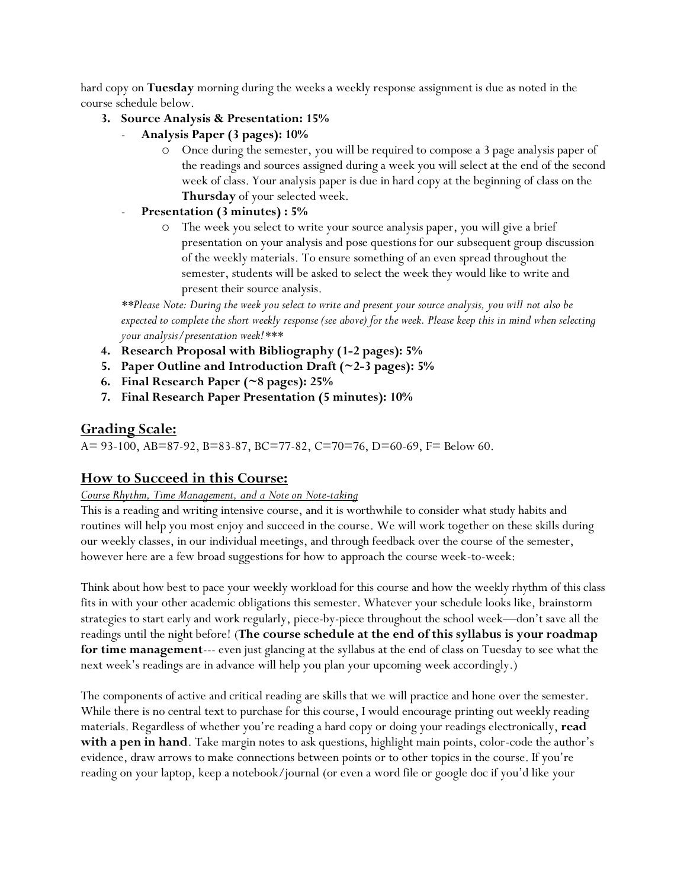hard copy on **Tuesday** morning during the weeks a weekly response assignment is due as noted in the course schedule below.

#### **3. Source Analysis & Presentation: 15%**

- **Analysis Paper (3 pages): 10%**
	- Once during the semester, you will be required to compose a 3 page analysis paper of the readings and sources assigned during a week you will select at the end of the second week of class. Your analysis paper is due in hard copy at the beginning of class on the **Thursday** of your selected week.
- **Presentation (3 minutes) : 5%**
	- o The week you select to write your source analysis paper, you will give a brief presentation on your analysis and pose questions for our subsequent group discussion of the weekly materials. To ensure something of an even spread throughout the semester, students will be asked to select the week they would like to write and present their source analysis.

*\*\*Please Note: During the week you select to write and present your source analysis, you will not also be expected to complete the short weekly response (see above) for the week. Please keep this in mind when selecting your analysis/presentation week!\*\*\**

- **4. Research Proposal with Bibliography (1-2 pages): 5%**
- **5. Paper Outline and Introduction Draft (~2-3 pages): 5%**
- **6. Final Research Paper (~8 pages): 25%**
- **7. Final Research Paper Presentation (5 minutes): 10%**

### **Grading Scale:**

A= 93-100, AB=87-92, B=83-87, BC=77-82, C=70=76, D=60-69, F= Below 60.

### **How to Succeed in this Course:**

#### *Course Rhythm, Time Management, and a Note on Note-taking*

This is a reading and writing intensive course, and it is worthwhile to consider what study habits and routines will help you most enjoy and succeed in the course. We will work together on these skills during our weekly classes, in our individual meetings, and through feedback over the course of the semester, however here are a few broad suggestions for how to approach the course week-to-week:

Think about how best to pace your weekly workload for this course and how the weekly rhythm of this class fits in with your other academic obligations this semester. Whatever your schedule looks like, brainstorm strategies to start early and work regularly, piece-by-piece throughout the school week—don't save all the readings until the night before! (**The course schedule at the end of this syllabus is your roadmap for time management**--- even just glancing at the syllabus at the end of class on Tuesday to see what the next week's readings are in advance will help you plan your upcoming week accordingly.)

The components of active and critical reading are skills that we will practice and hone over the semester. While there is no central text to purchase for this course, I would encourage printing out weekly reading materials. Regardless of whether you're reading a hard copy or doing your readings electronically, **read with a pen in hand**. Take margin notes to ask questions, highlight main points, color-code the author's evidence, draw arrows to make connections between points or to other topics in the course. If you're reading on your laptop, keep a notebook/journal (or even a word file or google doc if you'd like your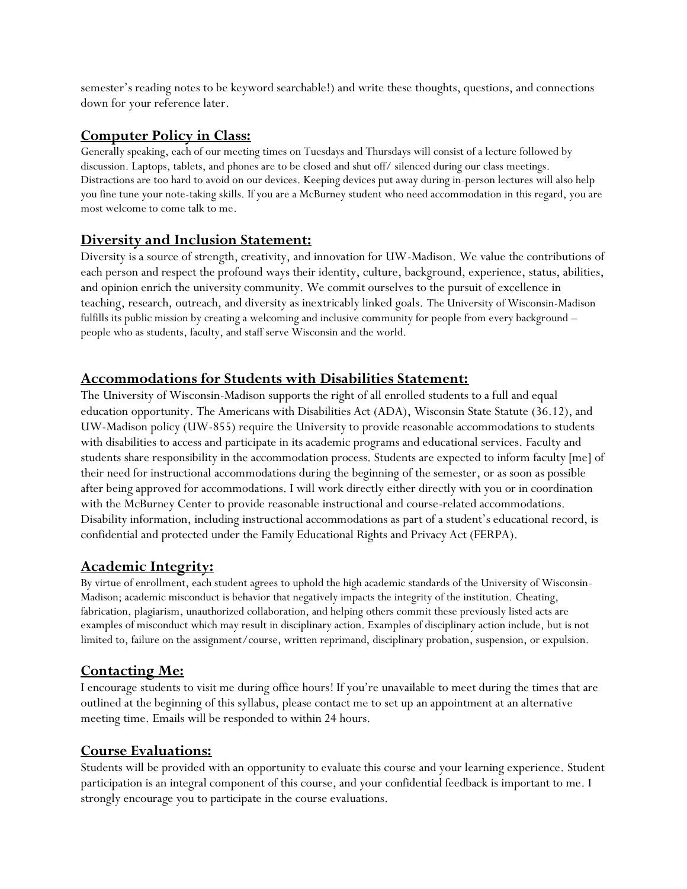semester's reading notes to be keyword searchable!) and write these thoughts, questions, and connections down for your reference later.

### **Computer Policy in Class:**

Generally speaking, each of our meeting times on Tuesdays and Thursdays will consist of a lecture followed by discussion. Laptops, tablets, and phones are to be closed and shut off/ silenced during our class meetings. Distractions are too hard to avoid on our devices. Keeping devices put away during in-person lectures will also help you fine tune your note-taking skills. If you are a McBurney student who need accommodation in this regard, you are most welcome to come talk to me.

### **Diversity and Inclusion Statement:**

Diversity is a source of strength, creativity, and innovation for UW-Madison. We value the contributions of each person and respect the profound ways their identity, culture, background, experience, status, abilities, and opinion enrich the university community. We commit ourselves to the pursuit of excellence in teaching, research, outreach, and diversity as inextricably linked goals. The University of Wisconsin-Madison fulfills its public mission by creating a welcoming and inclusive community for people from every background – people who as students, faculty, and staff serve Wisconsin and the world.

## **Accommodations for Students with Disabilities Statement:**

The University of Wisconsin-Madison supports the right of all enrolled students to a full and equal education opportunity. The Americans with Disabilities Act (ADA), Wisconsin State Statute (36.12), and UW-Madison policy (UW-855) require the University to provide reasonable accommodations to students with disabilities to access and participate in its academic programs and educational services. Faculty and students share responsibility in the accommodation process. Students are expected to inform faculty [me] of their need for instructional accommodations during the beginning of the semester, or as soon as possible after being approved for accommodations. I will work directly either directly with you or in coordination with the McBurney Center to provide reasonable instructional and course-related accommodations. Disability information, including instructional accommodations as part of a student's educational record, is confidential and protected under the Family Educational Rights and Privacy Act (FERPA).

## **Academic Integrity:**

By virtue of enrollment, each student agrees to uphold the high academic standards of the University of Wisconsin-Madison; academic misconduct is behavior that negatively impacts the integrity of the institution. Cheating, fabrication, plagiarism, unauthorized collaboration, and helping others commit these previously listed acts are examples of misconduct which may result in disciplinary action. Examples of disciplinary action include, but is not limited to, failure on the assignment/course, written reprimand, disciplinary probation, suspension, or expulsion.

## **Contacting Me:**

I encourage students to visit me during office hours! If you're unavailable to meet during the times that are outlined at the beginning of this syllabus, please contact me to set up an appointment at an alternative meeting time. Emails will be responded to within 24 hours.

### **Course Evaluations:**

Students will be provided with an opportunity to evaluate this course and your learning experience. Student participation is an integral component of this course, and your confidential feedback is important to me. I strongly encourage you to participate in the course evaluations.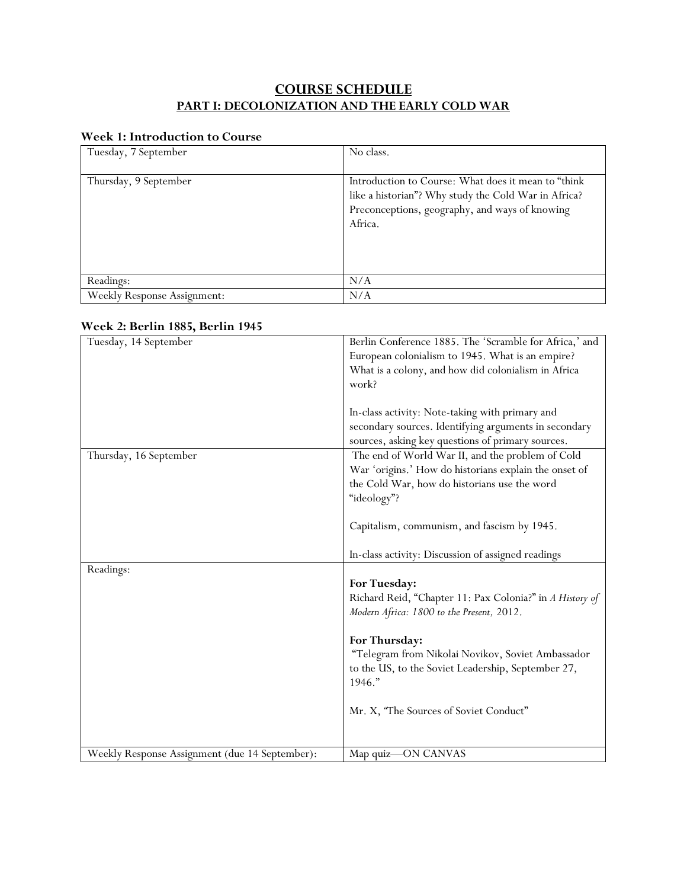## **COURSE SCHEDULE PART I: DECOLONIZATION AND THE EARLY COLD WAR**

#### **Week 1: Introduction to Course**

| Tuesday, 7 September               | No class.                                                                                                                                                                 |
|------------------------------------|---------------------------------------------------------------------------------------------------------------------------------------------------------------------------|
|                                    |                                                                                                                                                                           |
| Thursday, 9 September              | Introduction to Course: What does it mean to "think"<br>like a historian"? Why study the Cold War in Africa?<br>Preconceptions, geography, and ways of knowing<br>Africa. |
| Readings:                          | N/A                                                                                                                                                                       |
| <b>Weekly Response Assignment:</b> | N/A                                                                                                                                                                       |

#### **Week 2: Berlin 1885, Berlin 1945**

| Tuesday, 14 September                          | Berlin Conference 1885. The 'Scramble for Africa,' and   |
|------------------------------------------------|----------------------------------------------------------|
|                                                | European colonialism to 1945. What is an empire?         |
|                                                | What is a colony, and how did colonialism in Africa      |
|                                                | work?                                                    |
|                                                |                                                          |
|                                                | In-class activity: Note-taking with primary and          |
|                                                | secondary sources. Identifying arguments in secondary    |
|                                                | sources, asking key questions of primary sources.        |
| Thursday, 16 September                         | The end of World War II, and the problem of Cold         |
|                                                | War 'origins.' How do historians explain the onset of    |
|                                                | the Cold War, how do historians use the word             |
|                                                | "ideology"?                                              |
|                                                |                                                          |
|                                                | Capitalism, communism, and fascism by 1945.              |
|                                                |                                                          |
|                                                | In-class activity: Discussion of assigned readings       |
| Readings:                                      |                                                          |
|                                                | For Tuesday:                                             |
|                                                | Richard Reid, "Chapter 11: Pax Colonia?" in A History of |
|                                                | Modern Africa: 1800 to the Present, 2012.                |
|                                                |                                                          |
|                                                | For Thursday:                                            |
|                                                | "Telegram from Nikolai Novikov, Soviet Ambassador        |
|                                                | to the US, to the Soviet Leadership, September 27,       |
|                                                | 1946."                                                   |
|                                                |                                                          |
|                                                | Mr. X, "The Sources of Soviet Conduct"                   |
|                                                |                                                          |
|                                                |                                                          |
| Weekly Response Assignment (due 14 September): | Map quiz-ON CANVAS                                       |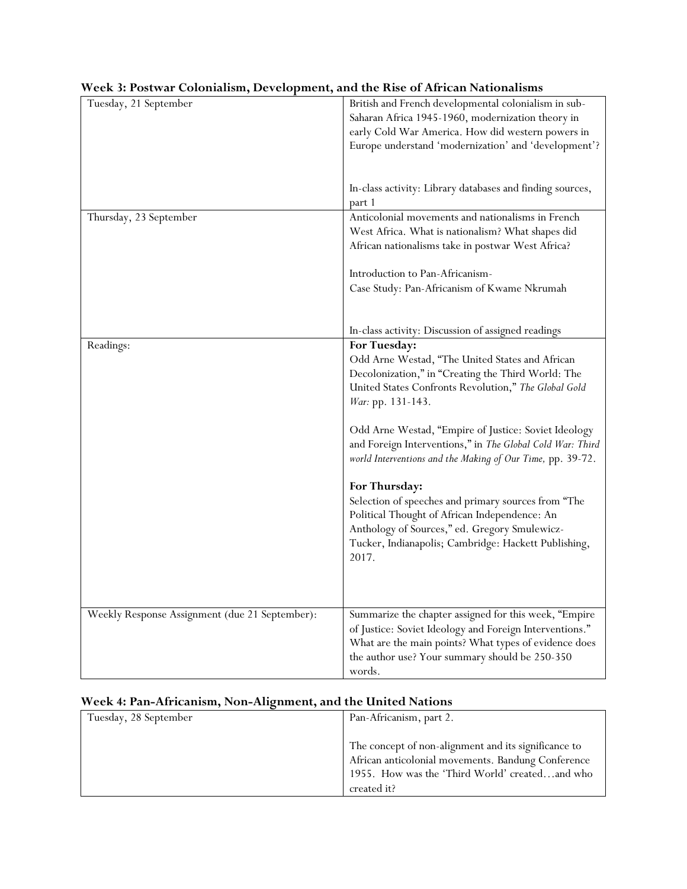| week 5.1 ostwar colomansin, Development, and the ruse of Amedin Nationalisms |                                                                                                                                                                                                                                                                                                                                                                                                                                                                                                                                                                                                                                  |
|------------------------------------------------------------------------------|----------------------------------------------------------------------------------------------------------------------------------------------------------------------------------------------------------------------------------------------------------------------------------------------------------------------------------------------------------------------------------------------------------------------------------------------------------------------------------------------------------------------------------------------------------------------------------------------------------------------------------|
| Tuesday, 21 September                                                        | British and French developmental colonialism in sub-<br>Saharan Africa 1945-1960, modernization theory in<br>early Cold War America. How did western powers in<br>Europe understand 'modernization' and 'development'?                                                                                                                                                                                                                                                                                                                                                                                                           |
|                                                                              | In-class activity: Library databases and finding sources,<br>part 1                                                                                                                                                                                                                                                                                                                                                                                                                                                                                                                                                              |
| Thursday, 23 September                                                       | Anticolonial movements and nationalisms in French<br>West Africa. What is nationalism? What shapes did<br>African nationalisms take in postwar West Africa?                                                                                                                                                                                                                                                                                                                                                                                                                                                                      |
|                                                                              | Introduction to Pan-Africanism-<br>Case Study: Pan-Africanism of Kwame Nkrumah                                                                                                                                                                                                                                                                                                                                                                                                                                                                                                                                                   |
|                                                                              | In-class activity: Discussion of assigned readings                                                                                                                                                                                                                                                                                                                                                                                                                                                                                                                                                                               |
| Readings:                                                                    | For Tuesday:<br>Odd Arne Westad, "The United States and African<br>Decolonization," in "Creating the Third World: The<br>United States Confronts Revolution," The Global Gold<br>War: pp. 131-143.<br>Odd Arne Westad, "Empire of Justice: Soviet Ideology<br>and Foreign Interventions," in The Global Cold War: Third<br>world Interventions and the Making of Our Time, pp. 39-72.<br>For Thursday:<br>Selection of speeches and primary sources from "The<br>Political Thought of African Independence: An<br>Anthology of Sources," ed. Gregory Smulewicz-<br>Tucker, Indianapolis; Cambridge: Hackett Publishing,<br>2017. |
| Weekly Response Assignment (due 21 September):                               | Summarize the chapter assigned for this week, "Empire<br>of Justice: Soviet Ideology and Foreign Interventions."<br>What are the main points? What types of evidence does<br>the author use? Your summary should be 250-350<br>words.                                                                                                                                                                                                                                                                                                                                                                                            |

### **Week 3: Postwar Colonialism, Development, and the Rise of African Nationalisms**

## **Week 4: Pan-Africanism, Non-Alignment, and the United Nations**

| Tuesday, 28 September | Pan-Africanism, part 2.                                                                                                                                                     |
|-----------------------|-----------------------------------------------------------------------------------------------------------------------------------------------------------------------------|
|                       |                                                                                                                                                                             |
|                       | The concept of non-alignment and its significance to<br>African anticolonial movements. Bandung Conference<br>1955. How was the 'Third World' createdand who<br>created it? |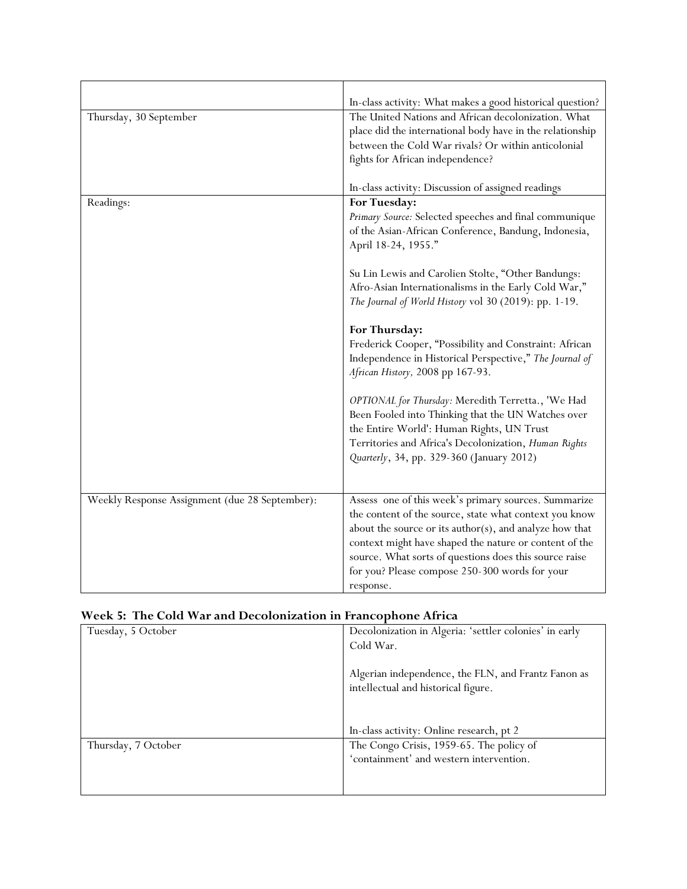|                                                | In-class activity: What makes a good historical question?                                                                                                                                                                                                                                                                                                              |
|------------------------------------------------|------------------------------------------------------------------------------------------------------------------------------------------------------------------------------------------------------------------------------------------------------------------------------------------------------------------------------------------------------------------------|
| Thursday, 30 September                         | The United Nations and African decolonization. What<br>place did the international body have in the relationship<br>between the Cold War rivals? Or within anticolonial<br>fights for African independence?                                                                                                                                                            |
|                                                | In-class activity: Discussion of assigned readings                                                                                                                                                                                                                                                                                                                     |
| Readings:                                      | For Tuesday:<br>Primary Source: Selected speeches and final communique<br>of the Asian-African Conference, Bandung, Indonesia,<br>April 18-24, 1955."<br>Su Lin Lewis and Carolien Stolte, "Other Bandungs:                                                                                                                                                            |
|                                                | Afro-Asian Internationalisms in the Early Cold War,"<br>The Journal of World History vol 30 (2019): pp. 1-19.                                                                                                                                                                                                                                                          |
|                                                | For Thursday:<br>Frederick Cooper, "Possibility and Constraint: African<br>Independence in Historical Perspective," The Journal of<br>African History, 2008 pp 167-93.                                                                                                                                                                                                 |
|                                                | OPTIONAL for Thursday: Meredith Terretta., 'We Had<br>Been Fooled into Thinking that the UN Watches over<br>the Entire World': Human Rights, UN Trust<br>Territories and Africa's Decolonization, Human Rights<br>Quarterly, 34, pp. 329-360 (January 2012)                                                                                                            |
| Weekly Response Assignment (due 28 September): | Assess one of this week's primary sources. Summarize<br>the content of the source, state what context you know<br>about the source or its $\text{author}(s)$ , and analyze how that<br>context might have shaped the nature or content of the<br>source. What sorts of questions does this source raise<br>for you? Please compose 250-300 words for your<br>response. |

### **Week 5: The Cold War and Decolonization in Francophone Africa**

| Tuesday, 5 October  | Decolonization in Algeria: 'settler colonies' in early |
|---------------------|--------------------------------------------------------|
|                     | Cold War.                                              |
|                     |                                                        |
|                     | Algerian independence, the FLN, and Frantz Fanon as    |
|                     | intellectual and historical figure.                    |
|                     |                                                        |
|                     |                                                        |
|                     | In-class activity: Online research, pt 2               |
| Thursday, 7 October | The Congo Crisis, 1959-65. The policy of               |
|                     | 'containment' and western intervention.                |
|                     |                                                        |
|                     |                                                        |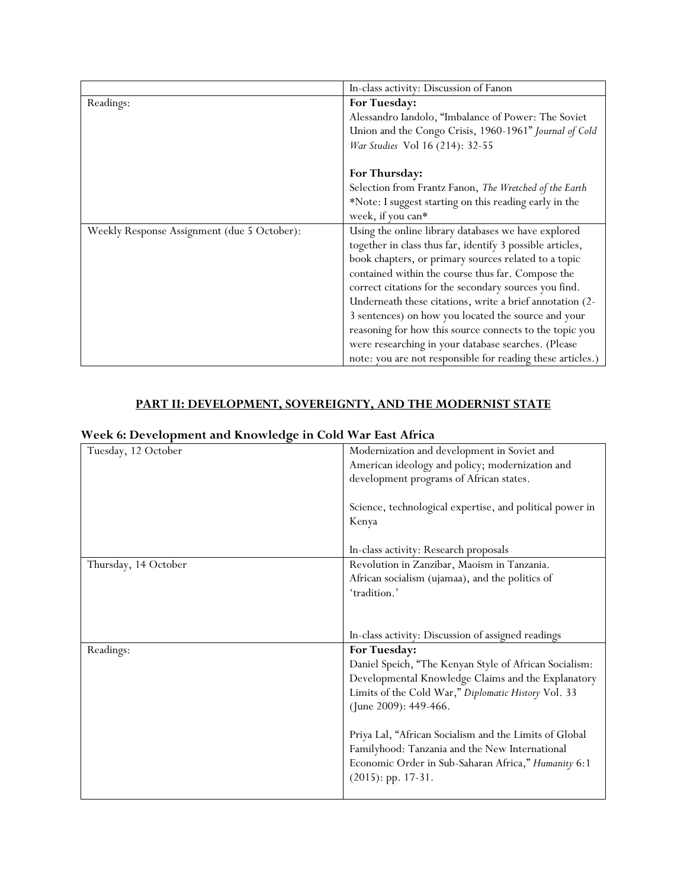|                                             | In-class activity: Discussion of Fanon                     |
|---------------------------------------------|------------------------------------------------------------|
| Readings:                                   | For Tuesday:                                               |
|                                             | Alessandro Iandolo, "Imbalance of Power: The Soviet        |
|                                             | Union and the Congo Crisis, 1960-1961" Journal of Cold     |
|                                             | War Studies Vol 16 (214): 32-55                            |
|                                             |                                                            |
|                                             | For Thursday:                                              |
|                                             | Selection from Frantz Fanon, The Wretched of the Earth     |
|                                             | *Note: I suggest starting on this reading early in the     |
|                                             | week, if you can*                                          |
| Weekly Response Assignment (due 5 October): | Using the online library databases we have explored        |
|                                             | together in class thus far, identify 3 possible articles,  |
|                                             | book chapters, or primary sources related to a topic       |
|                                             | contained within the course thus far. Compose the          |
|                                             | correct citations for the secondary sources you find.      |
|                                             | Underneath these citations, write a brief annotation (2-   |
|                                             | 3 sentences) on how you located the source and your        |
|                                             | reasoning for how this source connects to the topic you    |
|                                             | were researching in your database searches. (Please        |
|                                             | note: you are not responsible for reading these articles.) |

## **PART II: DEVELOPMENT, SOVEREIGNTY, AND THE MODERNIST STATE**

### **Week 6: Development and Knowledge in Cold War East Africa**

| o<br>Tuesday, 12 October | Modernization and development in Soviet and              |
|--------------------------|----------------------------------------------------------|
|                          | American ideology and policy; modernization and          |
|                          |                                                          |
|                          | development programs of African states.                  |
|                          |                                                          |
|                          | Science, technological expertise, and political power in |
|                          | Kenya                                                    |
|                          |                                                          |
|                          | In-class activity: Research proposals                    |
| Thursday, 14 October     | Revolution in Zanzibar, Maoism in Tanzania.              |
|                          | African socialism (ujamaa), and the politics of          |
|                          | 'tradition.'                                             |
|                          |                                                          |
|                          |                                                          |
|                          | In-class activity: Discussion of assigned readings       |
|                          |                                                          |
|                          |                                                          |
| Readings:                | For Tuesday:                                             |
|                          | Daniel Speich, "The Kenyan Style of African Socialism:   |
|                          | Developmental Knowledge Claims and the Explanatory       |
|                          | Limits of the Cold War," Diplomatic History Vol. 33      |
|                          | (June 2009): 449-466.                                    |
|                          |                                                          |
|                          | Priya Lal, "African Socialism and the Limits of Global   |
|                          | Familyhood: Tanzania and the New International           |
|                          | Economic Order in Sub-Saharan Africa," Humanity 6:1      |
|                          | $(2015)$ : pp. 17-31.                                    |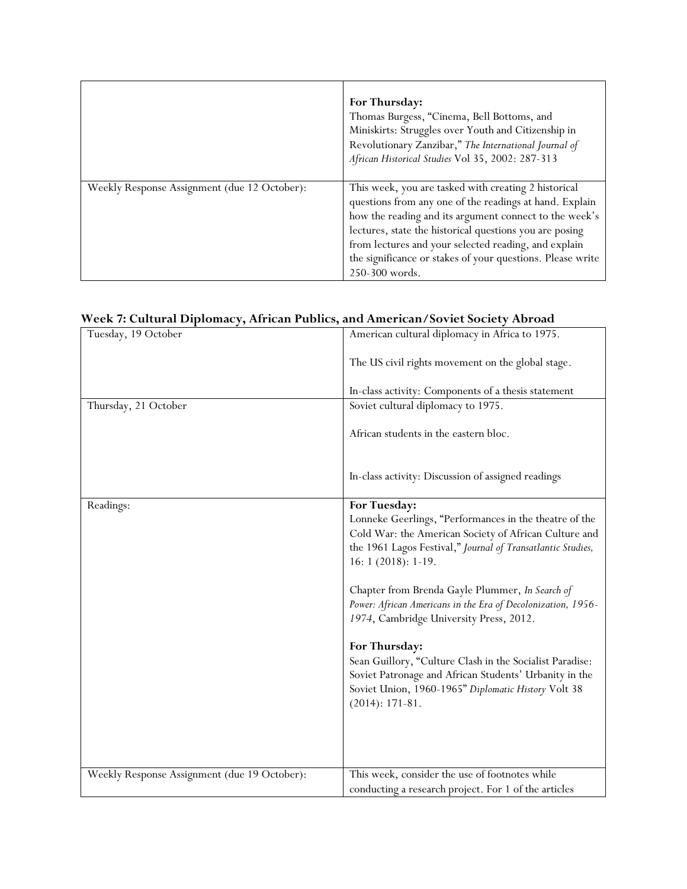|                                              | For Thursday:<br>Thomas Burgess, "Cinema, Bell Bottoms, and<br>Miniskirts: Struggles over Youth and Citizenship in<br>Revolutionary Zanzibar," The International Journal of<br>African Historical Studies Vol 35, 2002: 287-313                                                                                                                                              |
|----------------------------------------------|------------------------------------------------------------------------------------------------------------------------------------------------------------------------------------------------------------------------------------------------------------------------------------------------------------------------------------------------------------------------------|
| Weekly Response Assignment (due 12 October): | This week, you are tasked with creating 2 historical<br>questions from any one of the readings at hand. Explain<br>how the reading and its argument connect to the week's<br>lectures, state the historical questions you are posing<br>from lectures and your selected reading, and explain<br>the significance or stakes of your questions. Please write<br>250-300 words. |

## **Week 7: Cultural Diplomacy, African Publics, and American/Soviet Society Abroad**

| Tuesday, 19 October                          | American cultural diplomacy in Africa to 1975.                                                                                                                                                                                                                                                                                                                                                                                                                                                                                                                                                        |
|----------------------------------------------|-------------------------------------------------------------------------------------------------------------------------------------------------------------------------------------------------------------------------------------------------------------------------------------------------------------------------------------------------------------------------------------------------------------------------------------------------------------------------------------------------------------------------------------------------------------------------------------------------------|
|                                              | The US civil rights movement on the global stage.                                                                                                                                                                                                                                                                                                                                                                                                                                                                                                                                                     |
|                                              | In-class activity: Components of a thesis statement                                                                                                                                                                                                                                                                                                                                                                                                                                                                                                                                                   |
| Thursday, 21 October                         | Soviet cultural diplomacy to 1975.                                                                                                                                                                                                                                                                                                                                                                                                                                                                                                                                                                    |
|                                              | African students in the eastern bloc.                                                                                                                                                                                                                                                                                                                                                                                                                                                                                                                                                                 |
|                                              | In-class activity: Discussion of assigned readings                                                                                                                                                                                                                                                                                                                                                                                                                                                                                                                                                    |
| Readings:                                    | For Tuesday:<br>Lonneke Geerlings, "Performances in the theatre of the<br>Cold War: the American Society of African Culture and<br>the 1961 Lagos Festival," Journal of Transatlantic Studies,<br>$16:1(2018):1-19.$<br>Chapter from Brenda Gayle Plummer, In Search of<br>Power: African Americans in the Era of Decolonization, 1956-<br>1974, Cambridge University Press, 2012.<br>For Thursday:<br>Sean Guillory, "Culture Clash in the Socialist Paradise:<br>Soviet Patronage and African Students' Urbanity in the<br>Soviet Union, 1960-1965" Diplomatic History Volt 38<br>$(2014): 171-81.$ |
| Weekly Response Assignment (due 19 October): | This week, consider the use of footnotes while<br>conducting a research project. For 1 of the articles                                                                                                                                                                                                                                                                                                                                                                                                                                                                                                |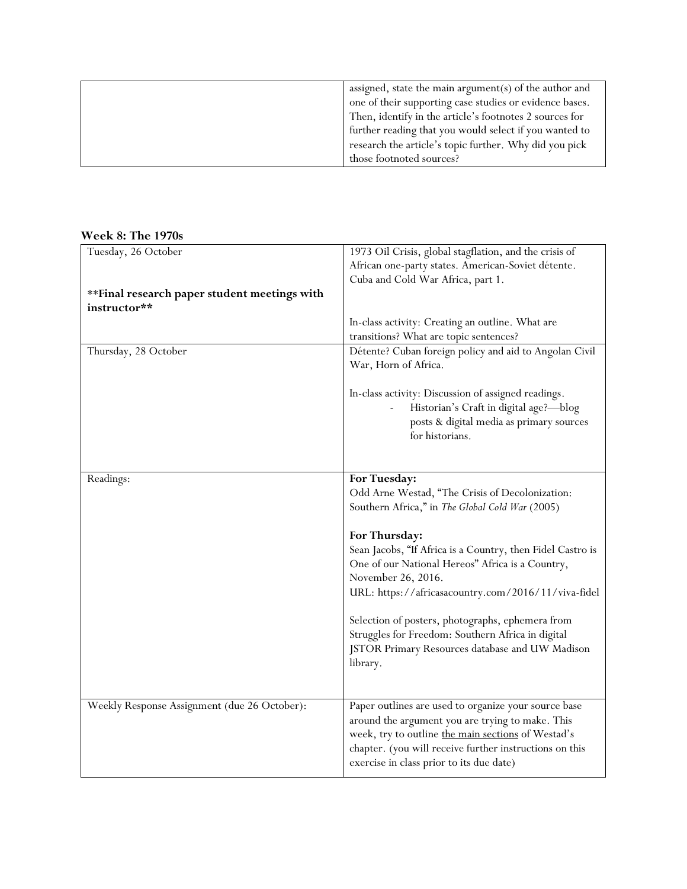| assigned, state the main argument(s) of the author and<br>one of their supporting case studies or evidence bases. |
|-------------------------------------------------------------------------------------------------------------------|
| Then, identify in the article's footnotes 2 sources for<br>further reading that you would select if you wanted to |
| research the article's topic further. Why did you pick<br>those footnoted sources?                                |

#### **Week 8: The 1970s**

| Tuesday, 26 October                          | 1973 Oil Crisis, global stagflation, and the crisis of     |
|----------------------------------------------|------------------------------------------------------------|
|                                              | African one-party states. American-Soviet détente.         |
|                                              | Cuba and Cold War Africa, part 1.                          |
| **Final research paper student meetings with |                                                            |
| instructor**                                 |                                                            |
|                                              | In-class activity: Creating an outline. What are           |
|                                              | transitions? What are topic sentences?                     |
| Thursday, 28 October                         | Détente? Cuban foreign policy and aid to Angolan Civil     |
|                                              | War, Horn of Africa.                                       |
|                                              |                                                            |
|                                              | In-class activity: Discussion of assigned readings.        |
|                                              | Historian's Craft in digital age?—blog                     |
|                                              | posts & digital media as primary sources                   |
|                                              | for historians.                                            |
|                                              |                                                            |
|                                              |                                                            |
| Readings:                                    | For Tuesday:                                               |
|                                              | Odd Arne Westad, "The Crisis of Decolonization:            |
|                                              | Southern Africa," in The Global Cold War (2005)            |
|                                              |                                                            |
|                                              | For Thursday:                                              |
|                                              | Sean Jacobs, "If Africa is a Country, then Fidel Castro is |
|                                              | One of our National Hereos" Africa is a Country,           |
|                                              | November 26, 2016.                                         |
|                                              | URL: https://africasacountry.com/2016/11/viva-fidel        |
|                                              |                                                            |
|                                              | Selection of posters, photographs, ephemera from           |
|                                              | Struggles for Freedom: Southern Africa in digital          |
|                                              | JSTOR Primary Resources database and UW Madison            |
|                                              | library.                                                   |
|                                              |                                                            |
|                                              |                                                            |
| Weekly Response Assignment (due 26 October): | Paper outlines are used to organize your source base       |
|                                              | around the argument you are trying to make. This           |
|                                              | week, try to outline the main sections of Westad's         |
|                                              | chapter. (you will receive further instructions on this    |
|                                              | exercise in class prior to its due date)                   |
|                                              |                                                            |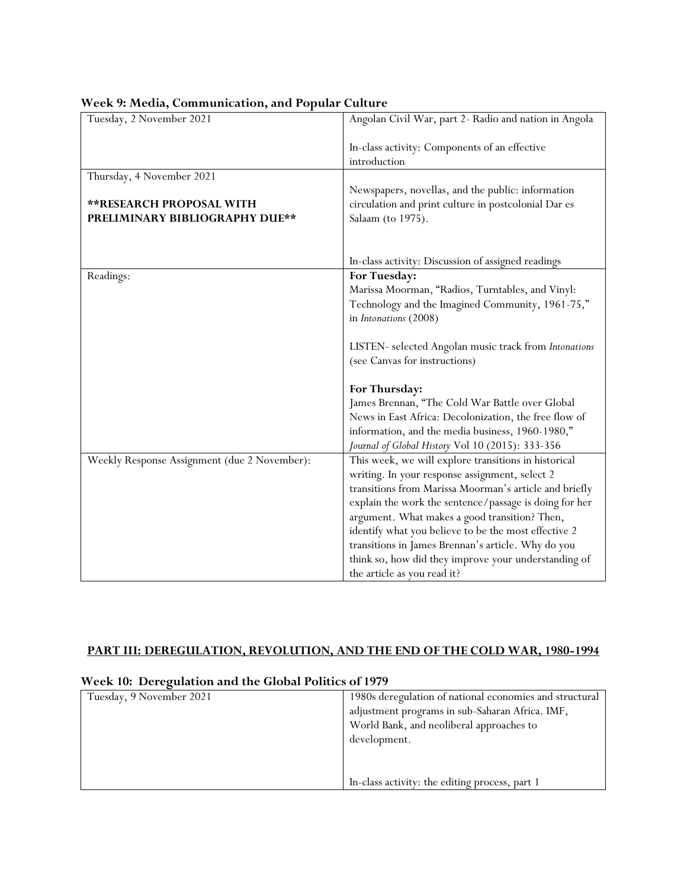| Tuesday, 2 November 2021                     | Angolan Civil War, part 2- Radio and nation in Angola                                                |
|----------------------------------------------|------------------------------------------------------------------------------------------------------|
|                                              | In-class activity: Components of an effective<br>introduction                                        |
| Thursday, 4 November 2021                    |                                                                                                      |
|                                              | Newspapers, novellas, and the public: information                                                    |
| <b>**RESEARCH PROPOSAL WITH</b>              | circulation and print culture in postcolonial Dar es                                                 |
| PRELIMINARY BIBLIOGRAPHY DUE**               | Salaam (to 1975).                                                                                    |
|                                              |                                                                                                      |
|                                              | In-class activity: Discussion of assigned readings                                                   |
| Readings:                                    | For Tuesday:                                                                                         |
|                                              | Marissa Moorman, "Radios, Turntables, and Vinyl:                                                     |
|                                              | Technology and the Imagined Community, 1961-75,"                                                     |
|                                              | in Intonations (2008)                                                                                |
|                                              |                                                                                                      |
|                                              | LISTEN- selected Angolan music track from Intonations                                                |
|                                              | (see Canvas for instructions)                                                                        |
|                                              |                                                                                                      |
|                                              | For Thursday:                                                                                        |
|                                              | James Brennan, "The Cold War Battle over Global                                                      |
|                                              | News in East Africa: Decolonization, the free flow of                                                |
|                                              | information, and the media business, 1960-1980,"<br>Journal of Global History Vol 10 (2015): 333-356 |
| Weekly Response Assignment (due 2 November): | This week, we will explore transitions in historical                                                 |
|                                              | writing. In your response assignment, select 2                                                       |
|                                              | transitions from Marissa Moorman's article and briefly                                               |
|                                              | explain the work the sentence/passage is doing for her                                               |
|                                              | argument. What makes a good transition? Then,                                                        |
|                                              | identify what you believe to be the most effective 2                                                 |
|                                              | transitions in James Brennan's article. Why do you                                                   |
|                                              | think so, how did they improve your understanding of                                                 |
|                                              | the article as you read it?                                                                          |

#### **Week 9: Media, Communication, and Popular Culture**

### **PART III: DEREGULATION, REVOLUTION, AND THE END OF THE COLD WAR, 1980-1994**

| week to, Deregulation and the Global Fonties of 1717 |                                                         |
|------------------------------------------------------|---------------------------------------------------------|
| Tuesday, 9 November 2021                             | 1980s deregulation of national economies and structural |
|                                                      | adjustment programs in sub-Saharan Africa. IMF,         |
|                                                      | World Bank, and neoliberal approaches to                |
|                                                      | development.                                            |
|                                                      |                                                         |
|                                                      |                                                         |
|                                                      | In-class activity: the editing process, part 1          |

#### **Week 10: Deregulation and the Global Politics of 1979**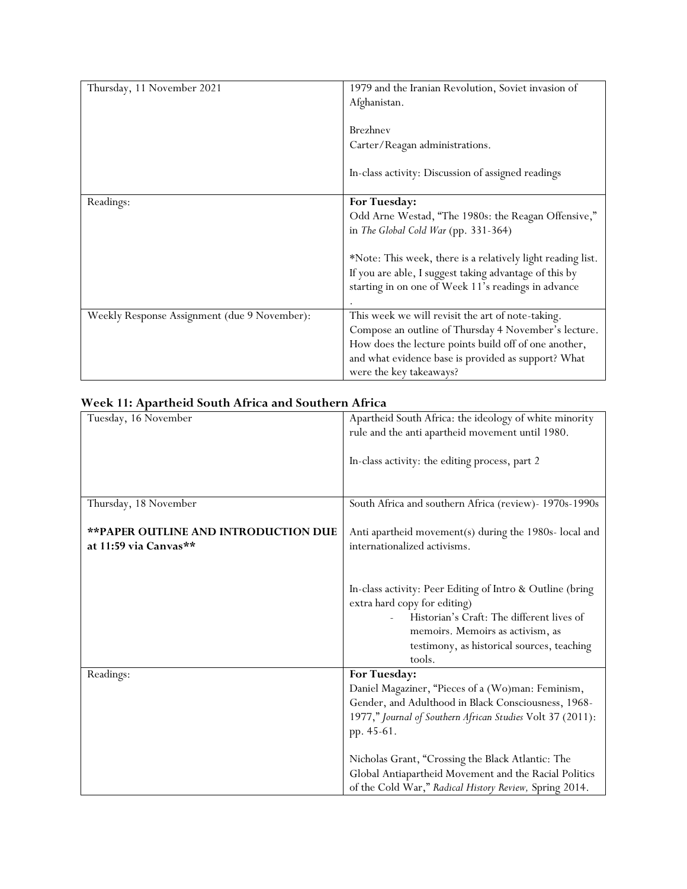| Thursday, 11 November 2021                   | 1979 and the Iranian Revolution, Soviet invasion of<br>Afghanistan.                                                                                                                                                                                  |
|----------------------------------------------|------------------------------------------------------------------------------------------------------------------------------------------------------------------------------------------------------------------------------------------------------|
|                                              | <b>Brezhnev</b><br>Carter/Reagan administrations.                                                                                                                                                                                                    |
|                                              | In-class activity: Discussion of assigned readings                                                                                                                                                                                                   |
| Readings:                                    | For Tuesday:<br>Odd Arne Westad, "The 1980s: the Reagan Offensive,"<br>in The Global Cold War (pp. 331-364)<br>*Note: This week, there is a relatively light reading list.                                                                           |
|                                              | If you are able, I suggest taking advantage of this by<br>starting in on one of Week 11's readings in advance                                                                                                                                        |
| Weekly Response Assignment (due 9 November): | This week we will revisit the art of note-taking.<br>Compose an outline of Thursday 4 November's lecture.<br>How does the lecture points build off of one another,<br>and what evidence base is provided as support? What<br>were the key takeaways? |

### **Week 11: Apartheid South Africa and Southern Africa**

| Tuesday, 16 November                        | Apartheid South Africa: the ideology of white minority     |
|---------------------------------------------|------------------------------------------------------------|
|                                             | rule and the anti apartheid movement until 1980.           |
|                                             |                                                            |
|                                             | In-class activity: the editing process, part 2             |
|                                             |                                                            |
|                                             |                                                            |
| Thursday, 18 November                       | South Africa and southern Africa (review)- 1970s-1990s     |
|                                             |                                                            |
| <b>**PAPER OUTLINE AND INTRODUCTION DUE</b> | Anti apartheid movement(s) during the 1980s- local and     |
| at 11:59 via Canvas**                       | internationalized activisms.                               |
|                                             |                                                            |
|                                             |                                                            |
|                                             | In-class activity: Peer Editing of Intro & Outline (bring  |
|                                             | extra hard copy for editing)                               |
|                                             | Historian's Craft: The different lives of                  |
|                                             | memoirs. Memoirs as activism, as                           |
|                                             | testimony, as historical sources, teaching                 |
|                                             | tools.                                                     |
| Readings:                                   | For Tuesday:                                               |
|                                             | Daniel Magaziner, "Pieces of a (Wo)man: Feminism,          |
|                                             | Gender, and Adulthood in Black Consciousness, 1968-        |
|                                             | 1977," Journal of Southern African Studies Volt 37 (2011): |
|                                             | pp. 45-61.                                                 |
|                                             |                                                            |
|                                             | Nicholas Grant, "Crossing the Black Atlantic: The          |
|                                             | Global Antiapartheid Movement and the Racial Politics      |
|                                             | of the Cold War," Radical History Review, Spring 2014.     |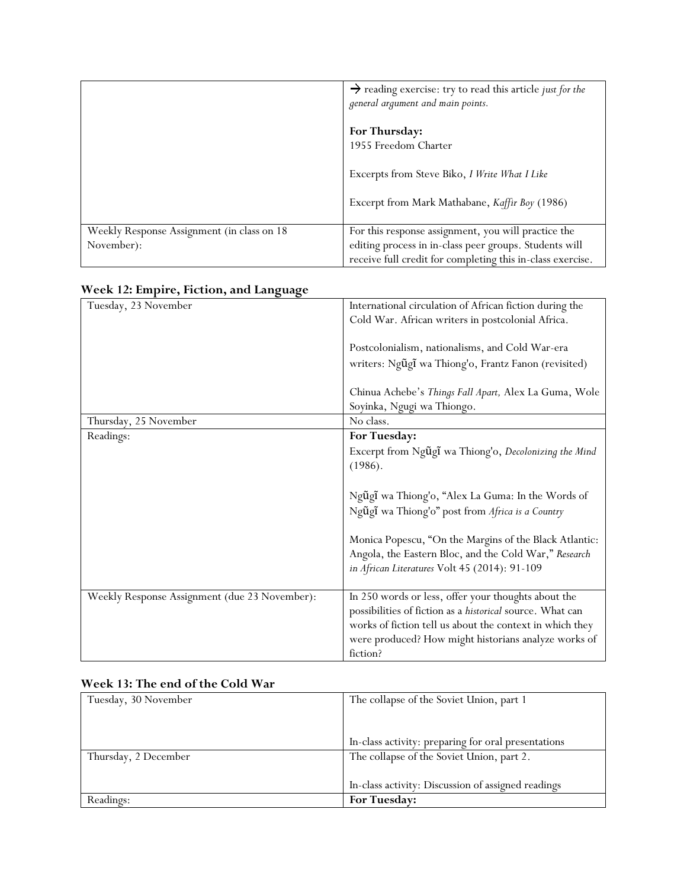|                                             | $\rightarrow$ reading exercise: try to read this article just for the<br>general argument and main points. |
|---------------------------------------------|------------------------------------------------------------------------------------------------------------|
|                                             | For Thursday:<br>1955 Freedom Charter                                                                      |
|                                             | Excerpts from Steve Biko, I Write What I Like                                                              |
|                                             | Excerpt from Mark Mathabane, Kaffir Boy (1986)                                                             |
| Weekly Response Assignment (in class on 18) | For this response assignment, you will practice the                                                        |
| November):                                  | editing process in in-class peer groups. Students will                                                     |
|                                             | receive full credit for completing this in-class exercise.                                                 |

| $\ldots$ and $\ldots$ and $\ldots$ and $\ldots$ |                                                           |
|-------------------------------------------------|-----------------------------------------------------------|
| Tuesday, 23 November                            | International circulation of African fiction during the   |
|                                                 | Cold War. African writers in postcolonial Africa.         |
|                                                 |                                                           |
|                                                 | Postcolonialism, nationalisms, and Cold War-era           |
|                                                 | writers: Ngũgĩ wa Thiong'o, Frantz Fanon (revisited)      |
|                                                 |                                                           |
|                                                 | Chinua Achebe's Things Fall Apart, Alex La Guma, Wole     |
|                                                 | Soyinka, Ngugi wa Thiongo.                                |
| Thursday, 25 November                           | No class.                                                 |
| Readings:                                       | For Tuesday:                                              |
|                                                 | Excerpt from Ngũgĩ wa Thiong'o, Decolonizing the Mind     |
|                                                 |                                                           |
|                                                 | (1986).                                                   |
|                                                 |                                                           |
|                                                 | Ngũgĩ wa Thiong'o, "Alex La Guma: In the Words of         |
|                                                 | Ngũgĩ wa Thiong'o" post from Africa is a Country          |
|                                                 |                                                           |
|                                                 | Monica Popescu, "On the Margins of the Black Atlantic:    |
|                                                 | Angola, the Eastern Bloc, and the Cold War," Research     |
|                                                 | in African Literatures Volt 45 (2014): 91-109             |
|                                                 |                                                           |
| Weekly Response Assignment (due 23 November):   | In 250 words or less, offer your thoughts about the       |
|                                                 | possibilities of fiction as a historical source. What can |
|                                                 | works of fiction tell us about the context in which they  |
|                                                 | were produced? How might historians analyze works of      |
|                                                 | fiction?                                                  |
|                                                 |                                                           |

#### **Week 12: Empire, Fiction, and Language**

#### **Week 13: The end of the Cold War**

| Tuesday, 30 November | The collapse of the Soviet Union, part 1            |
|----------------------|-----------------------------------------------------|
|                      |                                                     |
|                      |                                                     |
|                      | In-class activity: preparing for oral presentations |
| Thursday, 2 December | The collapse of the Soviet Union, part 2.           |
|                      |                                                     |
|                      | In-class activity: Discussion of assigned readings  |
| Readings:            | <b>For Tuesday:</b>                                 |